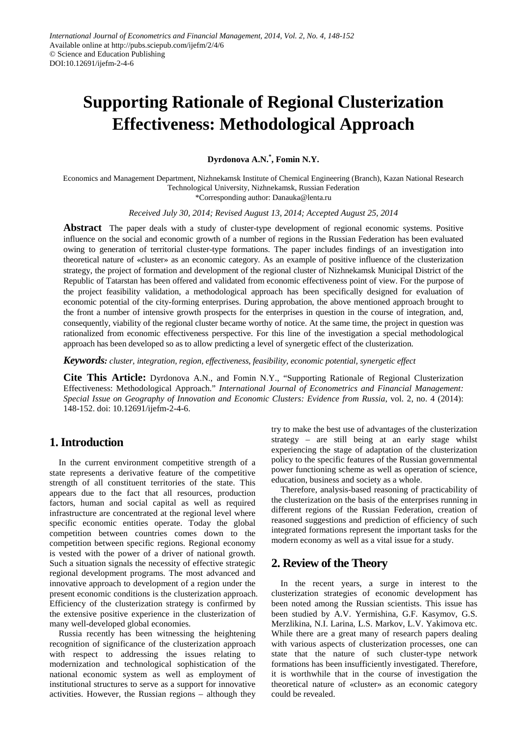# **Supporting Rationale of Regional Clusterization Effectiveness: Methodological Approach**

**Dyrdonova A.N.\* , Fomin N.Y.**

Economics and Management Department, Nizhnekamsk Institute of Chemical Engineering (Branch), Kazan National Research Technological University, Nizhnekamsk, Russian Federation

\*Corresponding author: Danauka@lenta.ru

*Received July 30, 2014; Revised August 13, 2014; Accepted August 25, 2014*

**Abstract** The paper deals with a study of cluster-type development of regional economic systems. Positive influence on the social and economic growth of a number of regions in the Russian Federation has been evaluated owing to generation of territorial cluster-type formations. The paper includes findings of an investigation into theoretical nature of «cluster» as an economic category. As an example of positive influence of the clusterization strategy, the project of formation and development of the regional cluster of Nizhnekamsk Municipal District of the Republic of Tatarstan has been offered and validated from economic effectiveness point of view. For the purpose of the project feasibility validation, a methodological approach has been specifically designed for evaluation of economic potential of the city-forming enterprises. During approbation, the above mentioned approach brought to the front a number of intensive growth prospects for the enterprises in question in the course of integration, and, consequently, viability of the regional cluster became worthy of notice. At the same time, the project in question was rationalized from economic effectiveness perspective. For this line of the investigation a special methodological approach has been developed so as to allow predicting a level of synergetic effect of the clusterization.

*Keywords: cluster, integration, region, effectiveness, feasibility, economic potential, synergetic effect*

**Cite This Article:** Dyrdonova A.N., and Fomin N.Y., "Supporting Rationale of Regional Clusterization Effectiveness: Methodological Approach." *International Journal of Econometrics and Financial Management: Special Issue on Geography of Innovation and Economic Clusters: Evidence from Russia*, vol. 2, no. 4 (2014): 148-152. doi: 10.12691/ijefm-2-4-6.

## **1. Introduction**

In the current environment competitive strength of a state represents a derivative feature of the competitive strength of all constituent territories of the state. This appears due to the fact that all resources, production factors, human and social capital as well as required infrastructure are concentrated at the regional level where specific economic entities operate. Today the global competition between countries comes down to the competition between specific regions. Regional economy is vested with the power of a driver of national growth. Such a situation signals the necessity of effective strategic regional development programs. The most advanced and innovative approach to development of a region under the present economic conditions is the clusterization approach. Efficiency of the clusterization strategy is confirmed by the extensive positive experience in the clusterization of many well-developed global economies.

Russia recently has been witnessing the heightening recognition of significance of the clusterization approach with respect to addressing the issues relating to modernization and technological sophistication of the national economic system as well as employment of institutional structures to serve as a support for innovative activities. However, the Russian regions – although they try to make the best use of advantages of the clusterization strategy – are still being at an early stage whilst experiencing the stage of adaptation of the clusterization policy to the specific features of the Russian governmental power functioning scheme as well as operation of science, education, business and society as a whole.

Therefore, analysis-based reasoning of practicability of the clusterization on the basis of the enterprises running in different regions of the Russian Federation, creation of reasoned suggestions and prediction of efficiency of such integrated formations represent the important tasks for the modern economy as well as a vital issue for a study.

## **2. Review of the Theory**

In the recent years, a surge in interest to the clusterization strategies of economic development has been noted among the Russian scientists. This issue has been studied by A.V. Yermishina, G.F. Kasymov, G.S. Merzlikina, N.I. Larina, L.S. Markov, L.V. Yakimova etc. While there are a great many of research papers dealing with various aspects of clusterization processes, one can state that the nature of such cluster-type network formations has been insufficiently investigated. Therefore, it is worthwhile that in the course of investigation the theoretical nature of «cluster» as an economic category could be revealed.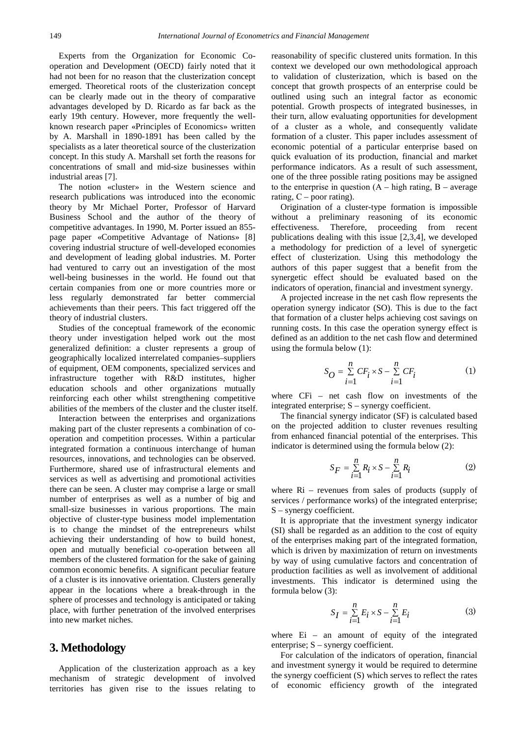Experts from the Organization for Economic Cooperation and Development (OECD) fairly noted that it had not been for no reason that the clusterization concept emerged. Theoretical roots of the clusterization concept can be clearly made out in the theory of comparative advantages developed by D. Ricardo as far back as the early 19th century. However, more frequently the wellknown research paper «Principles of Economics» written by A. Marshall in 1890-1891 has been called by the specialists as a later theoretical source of the clusterization concept. In this study A. Marshall set forth the reasons for concentrations of small and mid-size businesses within industrial areas [7].

The notion «cluster» in the Western science and research publications was introduced into the economic theory by Mr Michael Porter, Professor of Harvard Business School and the author of the theory of competitive advantages. In 1990, M. Porter issued an 855 page paper «Competitive Advantage of Nations» [8] covering industrial structure of well-developed economies and development of leading global industries. M. Porter had ventured to carry out an investigation of the most well-being businesses in the world. He found out that certain companies from one or more countries more or less regularly demonstrated far better commercial achievements than their peers. This fact triggered off the theory of industrial clusters.

Studies of the conceptual framework of the economic theory under investigation helped work out the most generalized definition: a cluster represents a group of geographically localized interrelated companies–suppliers of equipment, OEM components, specialized services and infrastructure together with R&D institutes, higher education schools and other organizations mutually reinforcing each other whilst strengthening competitive abilities of the members of the cluster and the cluster itself.

Interaction between the enterprises and organizations making part of the cluster represents a combination of cooperation and competition processes. Within a particular integrated formation a continuous interchange of human resources, innovations, and technologies can be observed. Furthermore, shared use of infrastructural elements and services as well as advertising and promotional activities there can be seen. A cluster may comprise a large or small number of enterprises as well as a number of big and small-size businesses in various proportions. The main objective of cluster-type business model implementation is to change the mindset of the entrepreneurs whilst achieving their understanding of how to build honest, open and mutually beneficial co-operation between all members of the clustered formation for the sake of gaining common economic benefits. A significant peculiar feature of a cluster is its innovative orientation. Clusters generally appear in the locations where a break-through in the sphere of processes and technology is anticipated or taking place, with further penetration of the involved enterprises into new market niches.

### **3. Methodology**

Application of the clusterization approach as a key mechanism of strategic development of involved territories has given rise to the issues relating to reasonability of specific clustered units formation. In this context we developed our own methodological approach to validation of clusterization, which is based on the concept that growth prospects of an enterprise could be outlined using such an integral factor as economic potential. Growth prospects of integrated businesses, in their turn, allow evaluating opportunities for development of a cluster as a whole, and consequently validate formation of a cluster. This paper includes assessment of economic potential of a particular enterprise based on quick evaluation of its production, financial and market performance indicators. As a result of such assessment, one of the three possible rating positions may be assigned to the enterprise in question  $(A - high rating, B - average$ rating,  $C$  – poor rating).

Origination of a cluster-type formation is impossible without a preliminary reasoning of its economic effectiveness. Therefore, proceeding from recent publications dealing with this issue [2,3,4], we developed a methodology for prediction of a level of synergetic effect of clusterization. Using this methodology the authors of this paper suggest that a benefit from the synergetic effect should be evaluated based on the indicators of operation, financial and investment synergy.

A projected increase in the net cash flow represents the operation synergy indicator (SO). This is due to the fact that formation of a cluster helps achieving cost savings on running costs. In this case the operation synergy effect is defined as an addition to the net cash flow and determined using the formula below (1):

$$
S_O = \sum_{i=1}^{n} CF_i \times S - \sum_{i=1}^{n} CF_i
$$
 (1)

where CFi – net cash flow on investments of the integrated enterprise; S – synergy coefficient.

The financial synergy indicator (SF) is calculated based on the projected addition to cluster revenues resulting from enhanced financial potential of the enterprises. This indicator is determined using the formula below (2):

$$
S_F = \sum_{i=1}^n R_i \times S - \sum_{i=1}^n R_i \tag{2}
$$

where Ri – revenues from sales of products (supply of services / performance works) of the integrated enterprise; S – synergy coefficient.

It is appropriate that the investment synergy indicator (SI) shall be regarded as an addition to the cost of equity of the enterprises making part of the integrated formation, which is driven by maximization of return on investments by way of using cumulative factors and concentration of production facilities as well as involvement of additional investments. This indicator is determined using the formula below (3):

$$
S_I = \sum_{i=1}^{n} E_i \times S - \sum_{i=1}^{n} E_i
$$
 (3)

where Ei – an amount of equity of the integrated enterprise; S – synergy coefficient.

For calculation of the indicators of operation, financial and investment synergy it would be required to determine the synergy coefficient (S) which serves to reflect the rates of economic efficiency growth of the integrated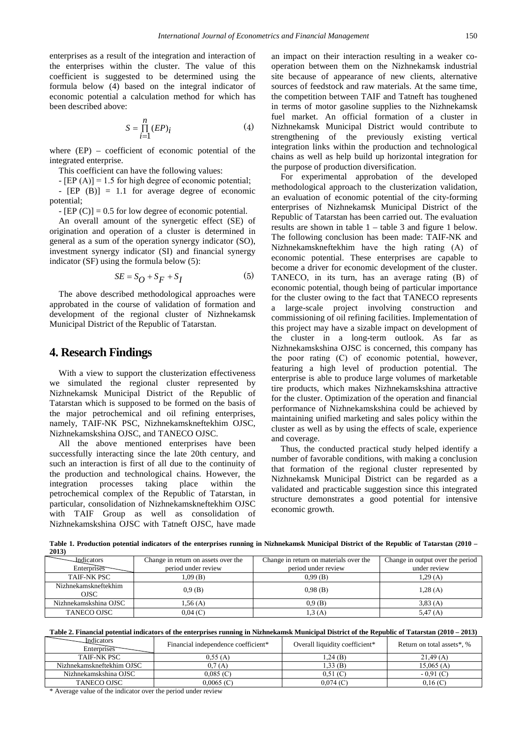enterprises as a result of the integration and interaction of the enterprises within the cluster. The value of this coefficient is suggested to be determined using the formula below (4) based on the integral indicator of economic potential a calculation method for which has been described above:

$$
S = \prod_{i=1}^{n} (EP)_i
$$
 (4)

where (EP) – coefficient of economic potential of the integrated enterprise.

This coefficient can have the following values:

 $-[EP(A)] = 1.5$  for high degree of economic potential; - [EP (B)] = 1.1 for average degree of economic potential;

 $-$  [EP (C)] = 0.5 for low degree of economic potential.

An overall amount of the synergetic effect (SE) of origination and operation of a cluster is determined in general as a sum of the operation synergy indicator (SO), investment synergy indicator (SI) and financial synergy indicator (SF) using the formula below (5):

$$
SE = S_O + S_F + S_I \tag{5}
$$

The above described methodological approaches were approbated in the course of validation of formation and development of the regional cluster of Nizhnekamsk Municipal District of the Republic of Tatarstan.

#### **4. Research Findings**

With a view to support the clusterization effectiveness we simulated the regional cluster represented by Nizhnekamsk Municipal District of the Republic of Tatarstan which is supposed to be formed on the basis of the major petrochemical and oil refining enterprises, namely, TAIF-NK PSC, Nizhnekamskneftekhim OJSC, Nizhnekamskshina OJSC, and TANECO OJSC.

All the above mentioned enterprises have been successfully interacting since the late 20th century, and such an interaction is first of all due to the continuity of the production and technological chains. However, the integration processes taking place within the petrochemical complex of the Republic of Tatarstan, in particular, consolidation of Nizhnekamskneftekhim OJSC with TAIF Group as well as consolidation of Nizhnekamskshina OJSC with Tatneft OJSC, have made an impact on their interaction resulting in a weaker cooperation between them on the Nizhnekamsk industrial site because of appearance of new clients, alternative sources of feedstock and raw materials. At the same time, the competition between TAIF and Tatneft has toughened in terms of motor gasoline supplies to the Nizhnekamsk fuel market. An official formation of a cluster in Nizhnekamsk Municipal District would contribute to strengthening of the previously existing vertical integration links within the production and technological chains as well as help build up horizontal integration for the purpose of production diversification.

For experimental approbation of the developed methodological approach to the clusterization validation, an evaluation of economic potential of the city-forming enterprises of Nizhnekamsk Municipal District of the Republic of Tatarstan has been carried out. The evaluation results are shown in table 1 – table 3 and figure 1 below. The following conclusion has been made: TAIF-NK and Nizhnekamskneftekhim have the high rating (А) of economic potential. These enterprises are capable to become a driver for economic development of the cluster. TANECO, in its turn, has an average rating (B) of economic potential, though being of particular importance for the cluster owing to the fact that TANECO represents a large-scale project involving construction and commissioning of oil refining facilities. Implementation of this project may have a sizable impact on development of the cluster in a long-term outlook. As far as Nizhnekamskshina OJSC is concerned, this company has the poor rating (С) of economic potential, however, featuring a high level of production potential. The enterprise is able to produce large volumes of marketable tire products, which makes Nizhnekamskshina attractive for the cluster. Optimization of the operation and financial performance of Nizhnekamskshina could be achieved by maintaining unified marketing and sales policy within the cluster as well as by using the effects of scale, experience and coverage.

Thus, the conducted practical study helped identify a number of favorable conditions, with making a conclusion that formation of the regional cluster represented by Nizhnekamsk Municipal District can be regarded as a validated and practicable suggestion since this integrated structure demonstrates a good potential for intensive economic growth.

**Indicators Enterprises** Change in return on assets over the period under review Change in return on materials over the period under review Change in output over the period under review TAIF-NK PSC  $1,09 \text{ (B)}$   $0,99 \text{ (B)}$   $1,29 \text{ (A)}$ Nizhnekamskneftekhim  $0.9 \text{ (B)}$  0,98 (B) 1,28 (A) 1,28 (A) Nizhnekamskshina OJSC 1,56 (A) 0,9 (B) 3,83 (A) 3,83 (A) TANECO OJSC  $0,04$  (C)  $1,3$  (A) 5,47 (A) 5,47 (A)

**Table 1. Production potential indicators of the enterprises running in Nizhnekamsk Municipal District of the Republic of Tatarstan (2010 – 2013)**

|  |  |  |  | Table 2. Financial potential indicators of the enterprises running in Nizhnekamsk Municipal District of the Republic of Tatarstan (2010 – 2013) |
|--|--|--|--|-------------------------------------------------------------------------------------------------------------------------------------------------|
|  |  |  |  |                                                                                                                                                 |

| <b>Indicators</b><br>Enterprises | Financial independence coefficient* | Overall liquidity coefficient* | Return on total assets*, % |
|----------------------------------|-------------------------------------|--------------------------------|----------------------------|
| TAIF-NK PSC                      | 0.55(A)                             | $1.24$ (B)                     | 21.49(A)                   |
| Nizhnekamskneftekhim OJSC        | 0.7(A)                              | 1,33(B)                        | 15,065(A)                  |
| Nizhnekamskshina OJSC            | $0.085$ (C)                         | 0.51(C)                        | $-0.91(C)$                 |
| <b>TANECO OJSC</b>               | $0.0065$ (C)                        | 0.074 (C)                      | 0.16 (C)                   |
| .                                |                                     |                                |                            |

\* Average value of the indicator over the period under review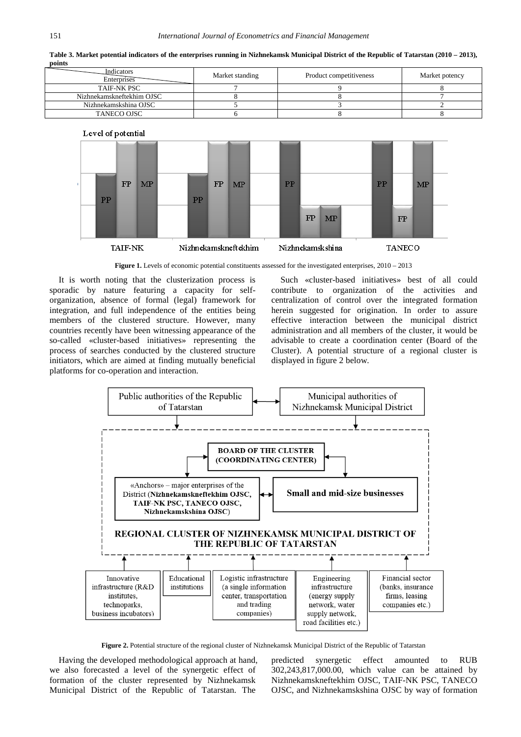**Table 3. Market potential indicators of the enterprises running in Nizhnekamsk Municipal District of the Republic of Tatarstan (2010 – 2013), points** Indicators



 ${\rm FP}$ 

Nizhnekamskneftekhim

PP

**MP** 

 $\overline{PP}$ 

FP

Nizhnekamskshina

**MP** 



It is worth noting that the clusterization process is sporadic by nature featuring a capacity for selforganization, absence of formal (legal) framework for integration, and full independence of the entities being members of the clustered structure. However, many countries recently have been witnessing appearance of the so-called «cluster-based initiatives» representing the process of searches conducted by the clustered structure initiators, which are aimed at finding mutually beneficial platforms for co-operation and interaction.

**FP** 

**TAIF-NK** 

 $\overline{PP}$ 

 $MP$ 

Such «cluster-based initiatives» best of all could contribute to organization of the activities and centralization of control over the integrated formation herein suggested for origination. In order to assure effective interaction between the municipal district administration and all members of the cluster, it would be advisable to create a coordination center (Board of the Cluster). A potential structure of a regional cluster is displayed in figure 2 below.

 $\overline{PP}$ 

**FP** 

**TANECO** 

 $\overline{\mathbf{MP}}$ 



**Figure 2.** Potential structure of the regional cluster of Nizhnekamsk Municipal District of the Republic of Tatarstan

Having the developed methodological approach at hand, we also forecasted a level of the synergetic effect of formation of the cluster represented by Nizhnekamsk Municipal District of the Republic of Tatarstan. The

predicted synergetic effect amounted to RUB 302,243,817,000.00, which value can be attained by Nizhnekamskneftekhim OJSC, TAIF-NK PSC, TANECO OJSC, and Nizhnekamskshina OJSC by way of formation